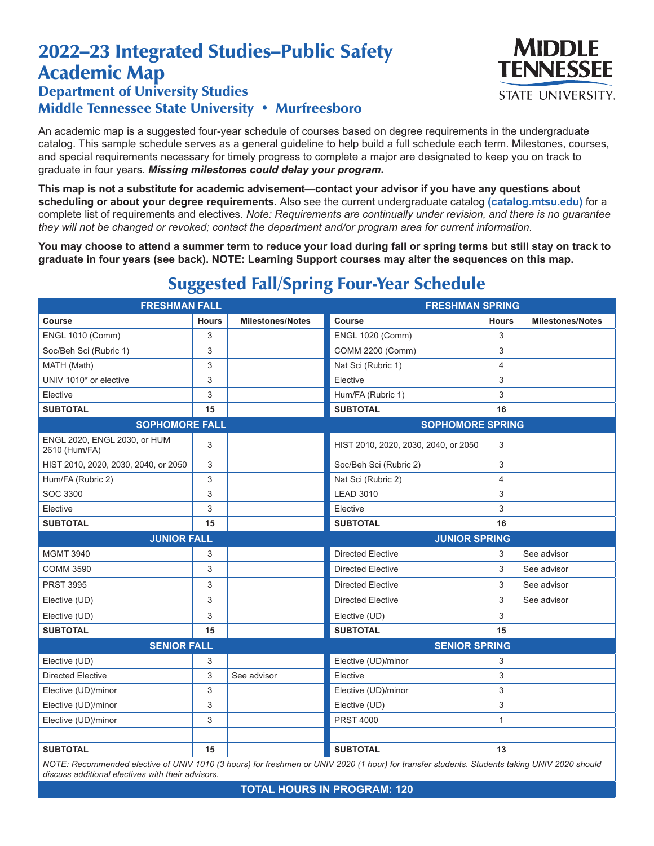## 2022–23 Integrated Studies–Public Safety Academic Map Department of University Studies



## Middle Tennessee State University • Murfreesboro

An academic map is a suggested four-year schedule of courses based on degree requirements in the undergraduate catalog. This sample schedule serves as a general guideline to help build a full schedule each term. Milestones, courses, and special requirements necessary for timely progress to complete a major are designated to keep you on track to graduate in four years. *Missing milestones could delay your program.*

**This map is not a substitute for academic advisement—contact your advisor if you have any questions about scheduling or about your degree requirements.** Also see the current undergraduate catalog **(catalog.mtsu.edu)** for a complete list of requirements and electives. *Note: Requirements are continually under revision, and there is no guarantee they will not be changed or revoked; contact the department and/or program area for current information.*

**You may choose to attend a summer term to reduce your load during fall or spring terms but still stay on track to graduate in four years (see back). NOTE: Learning Support courses may alter the sequences on this map.**

| <b>FRESHMAN FALL</b>                          |              |                         | <b>FRESHMAN SPRING</b>               |              |                         |  |
|-----------------------------------------------|--------------|-------------------------|--------------------------------------|--------------|-------------------------|--|
| <b>Course</b>                                 | <b>Hours</b> | <b>Milestones/Notes</b> | Course                               | <b>Hours</b> | <b>Milestones/Notes</b> |  |
| <b>ENGL 1010 (Comm)</b>                       | 3            |                         | <b>ENGL 1020 (Comm)</b>              | 3            |                         |  |
| Soc/Beh Sci (Rubric 1)                        | 3            |                         | COMM 2200 (Comm)                     | 3            |                         |  |
| MATH (Math)                                   | 3            |                         | Nat Sci (Rubric 1)                   | 4            |                         |  |
| UNIV 1010* or elective                        | 3            |                         | Elective                             | 3            |                         |  |
| Elective                                      | 3            |                         | Hum/FA (Rubric 1)                    | 3            |                         |  |
| <b>SUBTOTAL</b>                               | 15           |                         | <b>SUBTOTAL</b>                      | 16           |                         |  |
| <b>SOPHOMORE FALL</b>                         |              |                         | <b>SOPHOMORE SPRING</b>              |              |                         |  |
| ENGL 2020, ENGL 2030, or HUM<br>2610 (Hum/FA) | 3            |                         | HIST 2010, 2020, 2030, 2040, or 2050 | 3            |                         |  |
| HIST 2010, 2020, 2030, 2040, or 2050          | 3            |                         | Soc/Beh Sci (Rubric 2)               | 3            |                         |  |
| Hum/FA (Rubric 2)                             | 3            |                         | Nat Sci (Rubric 2)                   | 4            |                         |  |
| SOC 3300                                      | 3            |                         | <b>LEAD 3010</b>                     | 3            |                         |  |
| Elective                                      | 3            |                         | Elective                             | 3            |                         |  |
| <b>SUBTOTAL</b>                               | 15           |                         | <b>SUBTOTAL</b>                      | 16           |                         |  |
| <b>JUNIOR FALL</b>                            |              |                         | <b>JUNIOR SPRING</b>                 |              |                         |  |
| <b>MGMT 3940</b>                              | 3            |                         | <b>Directed Elective</b>             | 3            | See advisor             |  |
| <b>COMM 3590</b>                              | 3            |                         | <b>Directed Elective</b>             | 3            | See advisor             |  |
| <b>PRST 3995</b>                              | 3            |                         | <b>Directed Elective</b>             | 3            | See advisor             |  |
| Elective (UD)                                 | 3            |                         | <b>Directed Elective</b>             | 3            | See advisor             |  |
| Elective (UD)                                 | 3            |                         | Elective (UD)                        | 3            |                         |  |
| <b>SUBTOTAL</b>                               | 15           |                         | <b>SUBTOTAL</b>                      | 15           |                         |  |
| <b>SENIOR FALL</b>                            |              |                         | <b>SENIOR SPRING</b>                 |              |                         |  |
| Elective (UD)                                 | 3            |                         | Elective (UD)/minor                  | 3            |                         |  |
| <b>Directed Elective</b>                      | 3            | See advisor             | Elective                             | 3            |                         |  |
| Elective (UD)/minor                           | 3            |                         | Elective (UD)/minor                  | 3            |                         |  |
| Elective (UD)/minor                           | 3            |                         | Elective (UD)                        | 3            |                         |  |
| Elective (UD)/minor                           | 3            |                         | <b>PRST 4000</b>                     | $\mathbf{1}$ |                         |  |
|                                               |              |                         |                                      |              |                         |  |
| <b>SUBTOTAL</b>                               | 15           |                         | <b>SUBTOTAL</b>                      | 13           |                         |  |

## Suggested Fall/Spring Four-Year Schedule

*NOTE: Recommended elective of UNIV 1010 (3 hours) for freshmen or UNIV 2020 (1 hour) for transfer students. Students taking UNIV 2020 should discuss additional electives with their advisors.*

**TOTAL HOURS IN PROGRAM: 120**